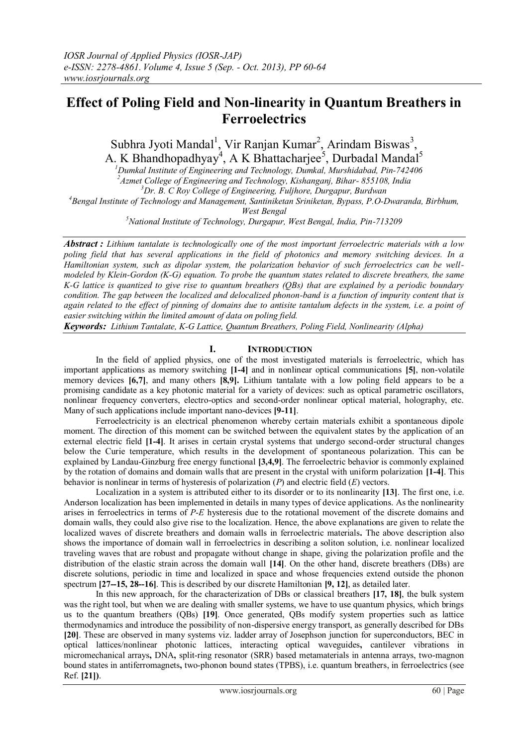# **Effect of Poling Field and Non-linearity in Quantum Breathers in Ferroelectrics**

Subhra Jyoti Mandal<sup>1</sup>, Vir Ranjan Kumar<sup>2</sup>, Arindam Biswas<sup>3</sup>, A. K Bhandhopadhyay<sup>4</sup>, A K Bhattacharjee<sup>5</sup>, Durbadal Mandal<sup>5</sup>

*<sup>1</sup>Dumkal Institute of Engineering and Technology, Dumkal, Murshidabad, Pin-742406 <sup>2</sup>Azmet College of Engineering and Technology, Kishanganj, Bihar- 855108, India <sup>3</sup>Dr. B. C Roy College of Engineering, Fuljhore, Durgapur, Burdwan* 

*<sup>4</sup>Bengal Institute of Technology and Management, Santiniketan Sriniketan, Bypass, P.O-Dwaranda, Birbhum,* 

*West Bengal*

*<sup>5</sup>National Institute of Technology, Durgapur, West Bengal, India, Pin-713209*

*Abstract : Lithium tantalate is technologically one of the most important ferroelectric materials with a low poling field that has several applications in the field of photonics and memory switching devices. In a Hamiltonian system, such as dipolar system, the polarization behavior of such ferroelectrics can be wellmodeled by Klein-Gordon (K-G) equation. To probe the quantum states related to discrete breathers, the same K-G lattice is quantized to give rise to quantum breathers (QBs) that are explained by a periodic boundary condition. The gap between the localized and delocalized phonon-band is a function of impurity content that is again related to the effect of pinning of domains due to antisite tantalum defects in the system, i.e. a point of easier switching within the limited amount of data on poling field.*

*Keywords: Lithium Tantalate, K-G Lattice, Quantum Breathers, Poling Field, Nonlinearity (Alpha)*

## **I. INTRODUCTION**

 In the field of applied physics, one of the most investigated materials is ferroelectric, which has important applications as memory switching **[1-4]** and in nonlinear optical communications **[5]**, non-volatile memory devices **[6,7]**, and many others **[8,9].** Lithium tantalate with a low poling field appears to be a promising candidate as a key photonic material for a variety of devices: such as optical parametric oscillators, nonlinear frequency converters, electro-optics and second-order nonlinear optical material, holography, etc. Many of such applications include important nano-devices **[9-11]**.

 Ferroelectricity is an electrical phenomenon whereby certain materials exhibit a spontaneous dipole moment. The direction of this moment can be switched between the equivalent states by the application of an external electric field **[1-4]**. It arises in certain crystal systems that undergo second-order structural changes below the Curie temperature, which results in the development of spontaneous polarization. This can be explained by Landau-Ginzburg free energy functional **[3,4,9]**. The ferroelectric behavior is commonly explained by the rotation of domains and domain walls that are present in the crystal with uniform polarization **[1-4]**. This behavior is nonlinear in terms of hysteresis of polarization (*P*) and electric field (*E*) vectors.

 Localization in a system is attributed either to its disorder or to its nonlinearity **[13]**. The first one, i.e. Anderson localization has been implemented in details in many types of device applications. As the nonlinearity arises in ferroelectrics in terms of *P*-*E* hysteresis due to the rotational movement of the discrete domains and domain walls, they could also give rise to the localization. Hence, the above explanations are given to relate the localized waves of discrete breathers and domain walls in ferroelectric materials**.** The above description also shows the importance of domain wall in ferroelectrics in describing a soliton solution, i.e. nonlinear localized traveling waves that are robust and propagate without change in shape, giving the polarization profile and the distribution of the elastic strain across the domain wall **[14]**. On the other hand, discrete breathers (DBs) are discrete solutions, periodic in time and localized in space and whose frequencies extend outside the phonon spectrum **[27--15, 28--16]**. This is described by our discrete Hamiltonian **[9, 12]**, as detailed later.

In this new approach, for the characterization of DBs or classical breathers **[17, 18]**, the bulk system was the right tool, but when we are dealing with smaller systems, we have to use quantum physics, which brings us to the quantum breathers (QBs) **[19]**. Once generated, QBs modify system properties such as lattice thermodynamics and introduce the possibility of non-dispersive energy transport, as generally described for DBs **[20]**. These are observed in many systems viz. ladder array of Josephson junction for superconductors, BEC in optical lattices/nonlinear photonic lattices, interacting optical waveguides**,** cantilever vibrations in micromechanical arrays**,** DNA**,** split-ring resonator (SRR) based metamaterials in antenna arrays, two-magnon bound states in antiferromagnets**,** two-phonon bound states (TPBS), i.e. quantum breathers, in ferroelectrics (see Ref. **[21])**.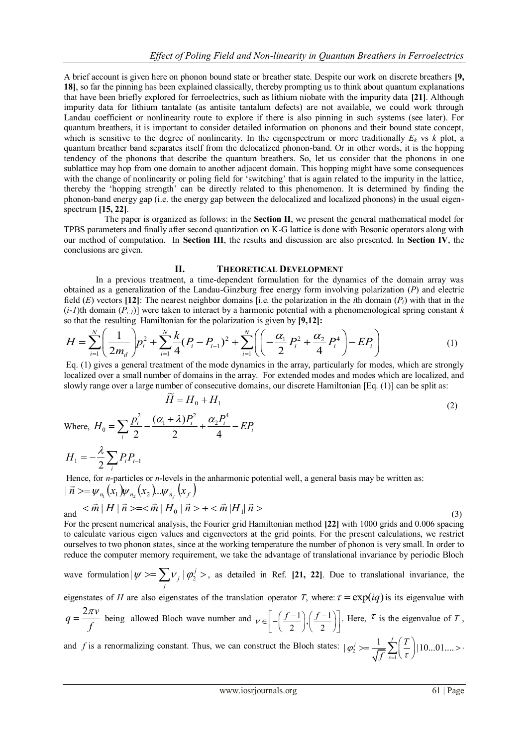A brief account is given here on phonon bound state or breather state. Despite our work on discrete breathers **[9, 18]**, so far the pinning has been explained classically, thereby prompting us to think about quantum explanations that have been briefly explored for ferroelectrics, such as lithium niobate with the impurity data **[21]**. Although impurity data for lithium tantalate (as antisite tantalum defects) are not available, we could work through Landau coefficient or nonlinearity route to explore if there is also pinning in such systems (see later). For quantum breathers, it is important to consider detailed information on phonons and their bound state concept, which is sensitive to the degree of nonlinearity. In the eigenspectrum or more traditionally  $E_k$  vs  $k$  plot, a quantum breather band separates itself from the delocalized phonon-band. Or in other words, it is the hopping tendency of the phonons that describe the quantum breathers. So, let us consider that the phonons in one sublattice may hop from one domain to another adjacent domain. This hopping might have some consequences with the change of nonlinearity or poling field for 'switching' that is again related to the impurity in the lattice, thereby the "hopping strength" can be directly related to this phenomenon. It is determined by finding the phonon-band energy gap (i.e. the energy gap between the delocalized and localized phonons) in the usual eigenspectrum **[15, 22]**.

 The paper is organized as follows: in the **Section II**, we present the general mathematical model for TPBS parameters and finally after second quantization on K-G lattice is done with Bosonic operators along with our method of computation. In **Section III**, the results and discussion are also presented. In **Section IV**, the conclusions are given.

### **II. THEORETICAL DEVELOPMENT**

In a previous treatment, a time-dependent formulation for the dynamics of the domain array was obtained as a generalization of the Landau-Ginzburg free energy form involving polarization (*P*) and electric field (*E*) vectors [12]: The nearest neighbor domains [i.e. the polarization in the *i*th domain (*P<sub>i</sub>*) wit field (*E*) vectors [12]: The nearest neighbor domains [i.e. the polarization in the *i*th domain (*P<sub>i</sub>*) with that in the  $(i-l)$ th domain (*P<sub>i-1</sub>*)] were taken to interact by a harmonic potential with a phenomenological

*(i-1)*th domain 
$$
(P_{i-1})
$$
 were taken to interact by a harmonic potential with a phenomenological spring constant *k* so that the resulting Hamiltonian for the polarization is given by [9,12]:  
\n
$$
H = \sum_{i=1}^{N} \left( \frac{1}{2m_d} \right) p_i^2 + \sum_{i=1}^{N} \frac{k}{4} (P_i - P_{i-1})^2 + \sum_{i=1}^{N} \left( \left( -\frac{\alpha_1}{2} P_i^2 + \frac{\alpha_2}{4} P_i^4 \right) - EP_i \right)
$$
\n[1]

Eq. (1) gives a general treatment of the mode dynamics in the array, particularly for modes, which are strongly localized over a small number of domains in the array. For extended modes and modes which are localized, and slowly range over a large number of consecutive domains, our discrete Hamiltonian [Eq. (1)] can be split as:<br> $\tilde{H} = H + H$ 

$$
\tilde{H} = H_0 + H_1
$$
\nWhere,  $H_0 = \sum_i \frac{p_i^2}{2} - \frac{(\alpha_1 + \lambda)P_i^2}{2} + \frac{\alpha_2 P_i^4}{4} - EP_i$ 

\n
$$
H_1 = -\frac{\lambda}{2} \sum_i P_i P_{i-1}
$$
\n(2)

Hence, for *n*-particles or *n*-levels in the anharmonic potential well, a general basis may be written as:

 $H<sub>i</sub>$ 

$$
|\vec{n} \rangle = \psi_{n_1}(x_1)\psi_{n_2}(x_2)...\psi_{n_f}(x_f)
$$
  
and  $<\vec{m} | H | \vec{n} \rangle = <\vec{m} | H_0 | \vec{n} \rangle + <\vec{m} | H_1 | \vec{n} \rangle$  (3)

For the present numerical analysis, the Fourier grid Hamiltonian method **[22]** with 1000 grids and 0.006 spacing to calculate various eigen values and eigenvectors at the grid points. For the present calculations, we restrict ourselves to two phonon states, since at the working temperature the number of phonon is very small. In order to reduce the computer memory requirement, we take the advantage of translational invariance by periodic Bloch

wave formulation 
$$
|\psi\rangle = \sum_j \nu_j |\varphi_2^j\rangle
$$
, as detailed in Ref. [21, 22]. Due to translational invariance, the

eigenstates of *H* are also eigenstates of the translation operator *T*, where:  $\tau = \exp(iq)$  is its eigenvalue with

$$
q = \frac{2\pi v}{f}
$$
 being allowed Bloch wave number and  $v \in \left[ -\left(\frac{f-1}{2}\right), \left(\frac{f-1}{2}\right) \right]$ . Here,  $\tau$  is the eigenvalue of T,

and *f* is a renormalizing constant. Thus, we can construct the Bloch states:  $|\varphi_2| = \frac{1}{\sqrt{f}} \sum_{s=1}^{\infty}$  $|\varphi_2'| \geq \frac{1}{\sqrt{6}} \sum_{i=1}^{f} \left( \frac{T}{2} \right) | 10...01...$ *s T*  $\varphi_2' \geq \frac{1}{\sqrt{f}}$  $\overline{\mathcal{A}} \setminus \mathcal{I}$  $>=\frac{1}{\sqrt{f}}\sum_{s=1}^{f} \left(\frac{T}{\tau}\right) |10...01...>$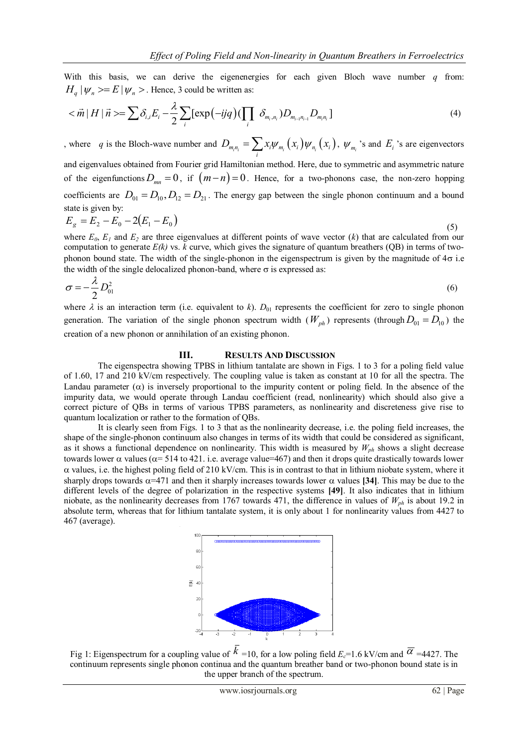With this basis, we can derive the eigenenergies for each given Bloch wave number *q* from: this basis, we<br>  $|\psi_n\rangle = E |\psi_n\rangle$ .<br>  $|\vec{n}| |H |\vec{n}\rangle = \sum \delta_{ij}$ .

With this basis, we can derive the eigenergies for each given Bloch wave number 
$$
q
$$
 from  $H_q | \psi_n \rangle = E | \psi_n \rangle$ . Hence, 3 could be written as:  $\langle \vec{m} | H | \vec{n} \rangle = \sum \delta_{i,j} E_i - \frac{\lambda}{2} \sum_i [\exp(-ijq) (\prod_i \delta_{m_i, n_i}) D_{m_{i-1}n_{i-1}} D_{m_i, n_i}]$  (4)

, where *q* is the Bloch-wave number and  $D_{m_in_i} = \sum_i x_i \psi_{m_i}(x_i) \psi_{n_i}(x_i)$ ,  $\psi_{m_i}$  's and  $E_i$ 's are eigenvectors and eigenvalues obtained from Fourier grid Hamiltonian method. Here, due to symmetric and asymmetric nature of the eigenfunctions  $D_{mn} = 0$ , if  $(m-n) = 0$ . Hence, for a two-phonons case, the non-zero hopping coefficients are  $D_{01} = D_{10}$ ,  $D_{12} = D_{21}$ . The energy gap between the single phonon continuum and a bound state is given by:

$$
E_g = E_2 - E_0 - 2(E_1 - E_0) \tag{5}
$$

where  $E_0$ ,  $E_1$  and  $E_2$  are three eigenvalues at different points of wave vector  $(k)$  that are calculated from our computation to generate  $E(k)$  vs.  $k$  curve, which gives the signature of quantum breathers (QB) in terms of twophonon bound state. The width of the single-phonon in the eigenspectrum is given by the magnitude of  $4\sigma$  i.e the width of the single delocalized phonon-band, where  $\sigma$  is expressed as:

$$
\sigma = -\frac{\lambda}{2} D_{01}^2 \tag{6}
$$

where  $\lambda$  is an interaction term (i.e. equivalent to *k*).  $D_{01}$  represents the coefficient for zero to single phonon generation. The variation of the single phonon spectrum width  $(W_{ph})$  represents (through  $D_{01} = D_{10}$ ) the creation of a new phonon or annihilation of an existing phonon.

### **III. RESULTS AND DISCUSSION**

 The eigenspectra showing TPBS in lithium tantalate are shown in Figs. 1 to 3 for a poling field value of 1.60, 17 and 210 kV/cm respectively. The coupling value is taken as constant at 10 for all the spectra. The Landau parameter  $(\alpha)$  is inversely proportional to the impurity content or poling field. In the absence of the impurity data, we would operate through Landau coefficient (read, nonlinearity) which should also give a correct picture of QBs in terms of various TPBS parameters, as nonlinearity and discreteness give rise to quantum localization or rather to the formation of QBs.

It is clearly seen from Figs. 1 to 3 that as the nonlinearity decrease, i.e. the poling field increases, the shape of the single-phonon continuum also changes in terms of its width that could be considered as significant, as it shows a functional dependence on nonlinearity. This width is measured by *Wph* shows a slight decrease towards lower  $\alpha$  values ( $\alpha$ = 514 to 421. i.e. average value=467) and then it drops quite drastically towards lower  $\alpha$  values, i.e. the highest poling field of 210 kV/cm. This is in contrast to that in lithium niobate system, where it sharply drops towards  $\alpha$ =471 and then it sharply increases towards lower  $\alpha$  values [34]. This may be due to the different levels of the degree of polarization in the respective systems **[49]**. It also indicates that in lithium niobate, as the nonlinearity decreases from 1767 towards 471, the difference in values of *Wph* is about 19.2 in absolute term, whereas that for lithium tantalate system, it is only about 1 for nonlinearity values from 4427 to 467 (average).



Fig 1: Eigenspectrum for a coupling value of  $k = 10$ , for a low poling field  $E_c = 1.6$  kV/cm and  $\overline{\alpha} = 4427$ . The continuum represents single phonon continua and the quantum breather band or two-phonon bound state is in the upper branch of the spectrum.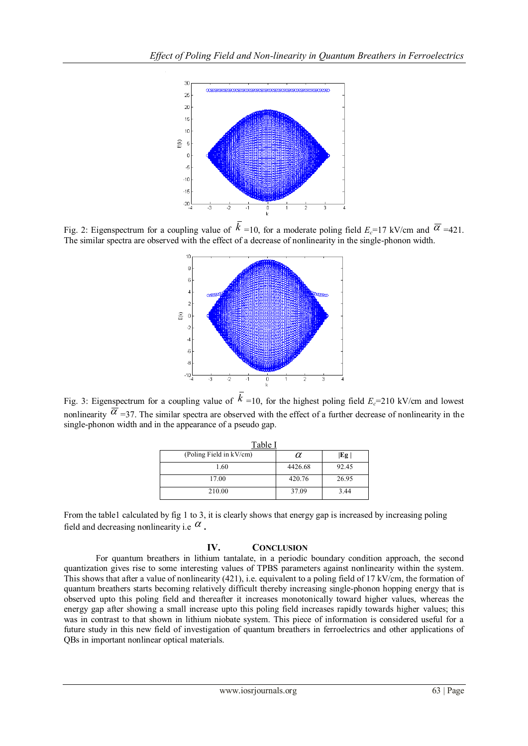

Fig. 2: Eigenspectrum for a coupling value of  $k = 10$ , for a moderate poling field  $E_c = 17$  kV/cm and  $\overline{\alpha} = 421$ . The similar spectra are observed with the effect of a decrease of nonlinearity in the single-phonon width.



Fig. 3: Eigenspectrum for a coupling value of  $k = 10$ , for the highest poling field  $E_c = 210$  kV/cm and lowest nonlinearity  $\alpha$  =37. The similar spectra are observed with the effect of a further decrease of nonlinearity in the single-phonon width and in the appearance of a pseudo gap.

| Table I                 |         |       |
|-------------------------|---------|-------|
| (Poling Field in kV/cm) | α       | Eg    |
| 1.60                    | 4426.68 | 92.45 |
| 17.00                   | 420.76  | 26.95 |
| 210.00                  | 37.09   | 3.44  |

From the table1 calculated by fig 1 to 3, it is clearly shows that energy gap is increased by increasing poling field and decreasing nonlinearity i.e  $\alpha$ .

## **IV. CONCLUSION**

For quantum breathers in lithium tantalate, in a periodic boundary condition approach, the second quantization gives rise to some interesting values of TPBS parameters against nonlinearity within the system. This shows that after a value of nonlinearity (421), i.e. equivalent to a poling field of 17 kV/cm, the formation of quantum breathers starts becoming relatively difficult thereby increasing single-phonon hopping energy that is observed upto this poling field and thereafter it increases monotonically toward higher values, whereas the energy gap after showing a small increase upto this poling field increases rapidly towards higher values; this was in contrast to that shown in lithium niobate system. This piece of information is considered useful for a future study in this new field of investigation of quantum breathers in ferroelectrics and other applications of QBs in important nonlinear optical materials.